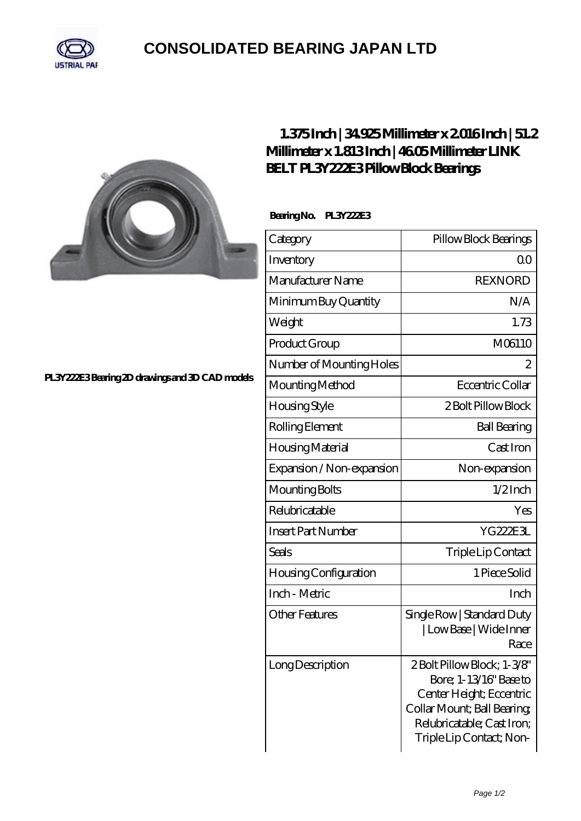

## **[CONSOLIDATED BEARING JAPAN LTD](https://m.psp11.de)**



## **[1.375 Inch | 34.925 Millimeter x 2.016 Inch | 51.2](https://m.psp11.de/az-214043-link-belt-pl3y222e3-pillow-block-bearings.html) [Millimeter x 1.813 Inch | 46.05 Millimeter LINK](https://m.psp11.de/az-214043-link-belt-pl3y222e3-pillow-block-bearings.html) [BELT PL3Y222E3 Pillow Block Bearings](https://m.psp11.de/az-214043-link-belt-pl3y222e3-pillow-block-bearings.html)**

 **Bearing No. PL3Y222E3**

| Category                     | Pillow Block Bearings                                                                                                                                                     |
|------------------------------|---------------------------------------------------------------------------------------------------------------------------------------------------------------------------|
| Inventory                    | 0 <sup>0</sup>                                                                                                                                                            |
| Manufacturer Name            | <b>REXNORD</b>                                                                                                                                                            |
| Minimum Buy Quantity         | N/A                                                                                                                                                                       |
| Weight                       | 1.73                                                                                                                                                                      |
| Product Group                | M06110                                                                                                                                                                    |
| Number of Mounting Holes     | 2                                                                                                                                                                         |
| Mounting Method              | Eccentric Collar                                                                                                                                                          |
| Housing Style                | 2 Bolt Pillow Block                                                                                                                                                       |
| Rolling Element              | <b>Ball Bearing</b>                                                                                                                                                       |
| Housing Material             | Cast Iron                                                                                                                                                                 |
| Expansion / Non-expansion    | Non-expansion                                                                                                                                                             |
| Mounting Bolts               | $1/2$ Inch                                                                                                                                                                |
| Relubricatable               | Yes                                                                                                                                                                       |
| <b>Insert Part Number</b>    | YG222E3L                                                                                                                                                                  |
| Seals                        | Triple Lip Contact                                                                                                                                                        |
| <b>Housing Configuration</b> | 1 Piece Solid                                                                                                                                                             |
| Inch - Metric                | Inch                                                                                                                                                                      |
| <b>Other Features</b>        | Single Row   Standard Duty<br>  Low Base   Wide Inner<br>Race                                                                                                             |
| Long Description             | 2Bolt Pillow Block; 1-3/8'<br>Bore; 1-13/16" Base to<br>Center Height; Eccentric<br>Collar Mount; Ball Bearing;<br>Relubricatable; Cast Iron;<br>Triple Lip Contact; Non- |

**[PL3Y222E3 Bearing 2D drawings and 3D CAD models](https://m.psp11.de/pic-214043.html)**